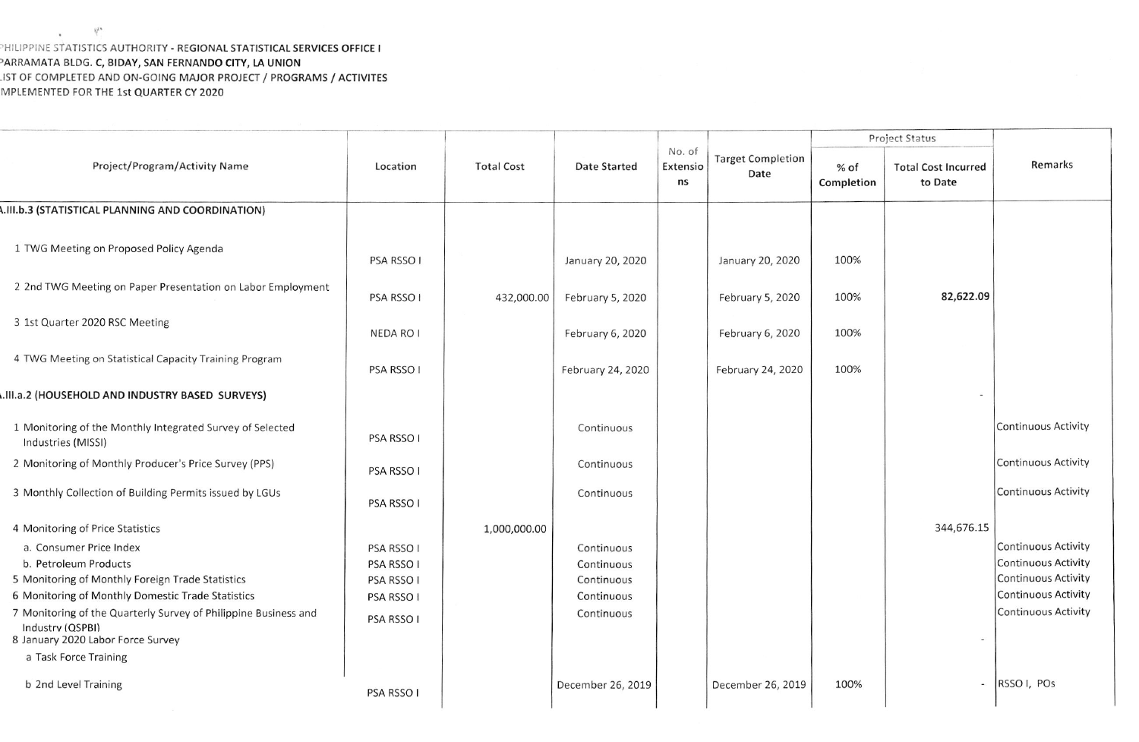## HILIPPINE STATISTICS AUTHORITY - REGIONAL STATISTICAL SERVICES OFFICE I ARRAMATA BLDG. C, BIDAY, SAN FERNANDO CITY, LA UNION IST OF COMPLETED AND ON-GOING MAJOR PROJECT / PROGRAMS / ACTIVITES MPLEMENTED FOR THE 1st QUARTER CY 2020

|                                                                                                                                                                                                                                                                                                                | Location                                                           | <b>Total Cost</b> | <b>Date Started</b>                                                | No. of<br>Extensio<br>ns | <b>Target Completion</b><br>Date | Project Status     |                                       |                                                                                                                                      |
|----------------------------------------------------------------------------------------------------------------------------------------------------------------------------------------------------------------------------------------------------------------------------------------------------------------|--------------------------------------------------------------------|-------------------|--------------------------------------------------------------------|--------------------------|----------------------------------|--------------------|---------------------------------------|--------------------------------------------------------------------------------------------------------------------------------------|
| Project/Program/Activity Name                                                                                                                                                                                                                                                                                  |                                                                    |                   |                                                                    |                          |                                  | % of<br>Completion | <b>Total Cost Incurred</b><br>to Date | Remarks                                                                                                                              |
| <b>A.III.b.3 (STATISTICAL PLANNING AND COORDINATION)</b>                                                                                                                                                                                                                                                       |                                                                    |                   |                                                                    |                          |                                  |                    |                                       |                                                                                                                                      |
| 1 TWG Meeting on Proposed Policy Agenda                                                                                                                                                                                                                                                                        | PSA RSSO I                                                         |                   | January 20, 2020                                                   |                          | January 20, 2020                 | 100%               |                                       |                                                                                                                                      |
| 2 2nd TWG Meeting on Paper Presentation on Labor Employment                                                                                                                                                                                                                                                    | PSA RSSO I                                                         | 432,000.00        | February 5, 2020                                                   |                          | February 5, 2020                 | 100%               | 82,622.09                             |                                                                                                                                      |
| 3 1st Quarter 2020 RSC Meeting                                                                                                                                                                                                                                                                                 | NEDA RO I                                                          |                   | February 6, 2020                                                   |                          | February 6, 2020                 | 100%               |                                       |                                                                                                                                      |
| 4 TWG Meeting on Statistical Capacity Training Program                                                                                                                                                                                                                                                         | PSA RSSO I                                                         |                   | February 24, 2020                                                  |                          | February 24, 2020                | 100%               |                                       |                                                                                                                                      |
| III.a.2 (HOUSEHOLD AND INDUSTRY BASED SURVEYS)                                                                                                                                                                                                                                                                 |                                                                    |                   |                                                                    |                          |                                  |                    |                                       |                                                                                                                                      |
| 1 Monitoring of the Monthly Integrated Survey of Selected<br>Industries (MISSI)                                                                                                                                                                                                                                | PSA RSSO I                                                         |                   | Continuous                                                         |                          |                                  |                    |                                       | Continuous Activity                                                                                                                  |
| 2 Monitoring of Monthly Producer's Price Survey (PPS)                                                                                                                                                                                                                                                          | PSA RSSO I                                                         |                   | Continuous                                                         |                          |                                  |                    |                                       | Continuous Activity                                                                                                                  |
| 3 Monthly Collection of Building Permits issued by LGUs                                                                                                                                                                                                                                                        | <b>PSA RSSO I</b>                                                  |                   | Continuous                                                         |                          |                                  |                    |                                       | <b>Continuous Activity</b>                                                                                                           |
| 4 Monitoring of Price Statistics                                                                                                                                                                                                                                                                               |                                                                    | 1,000,000.00      |                                                                    |                          |                                  |                    | 344,676.15                            |                                                                                                                                      |
| a. Consumer Price Index<br>b. Petroleum Products<br>5 Monitoring of Monthly Foreign Trade Statistics<br>6 Monitoring of Monthly Domestic Trade Statistics<br>7 Monitoring of the Quarterly Survey of Philippine Business and<br>Industry (QSPBI)<br>8 January 2020 Labor Force Survey<br>a Task Force Training | PSA RSSO I<br>PSA RSSO I<br>PSA RSSO I<br>PSA RSSO I<br>PSA RSSO I |                   | Continuous<br>Continuous<br>Continuous<br>Continuous<br>Continuous |                          |                                  |                    |                                       | Continuous Activity<br><b>Continuous Activity</b><br>Continuous Activity<br><b>Continuous Activity</b><br><b>Continuous Activity</b> |
| b 2nd Level Training                                                                                                                                                                                                                                                                                           | PSA RSSO I                                                         |                   | December 26, 2019                                                  |                          | December 26, 2019                | 100%               | $-1$                                  | RSSO <sub>I</sub> , PO <sub>s</sub>                                                                                                  |

 $\label{eq:q} \mathcal{Q}^{\mathcal{O}} = \mathcal{Q}^{\mathcal{O}}$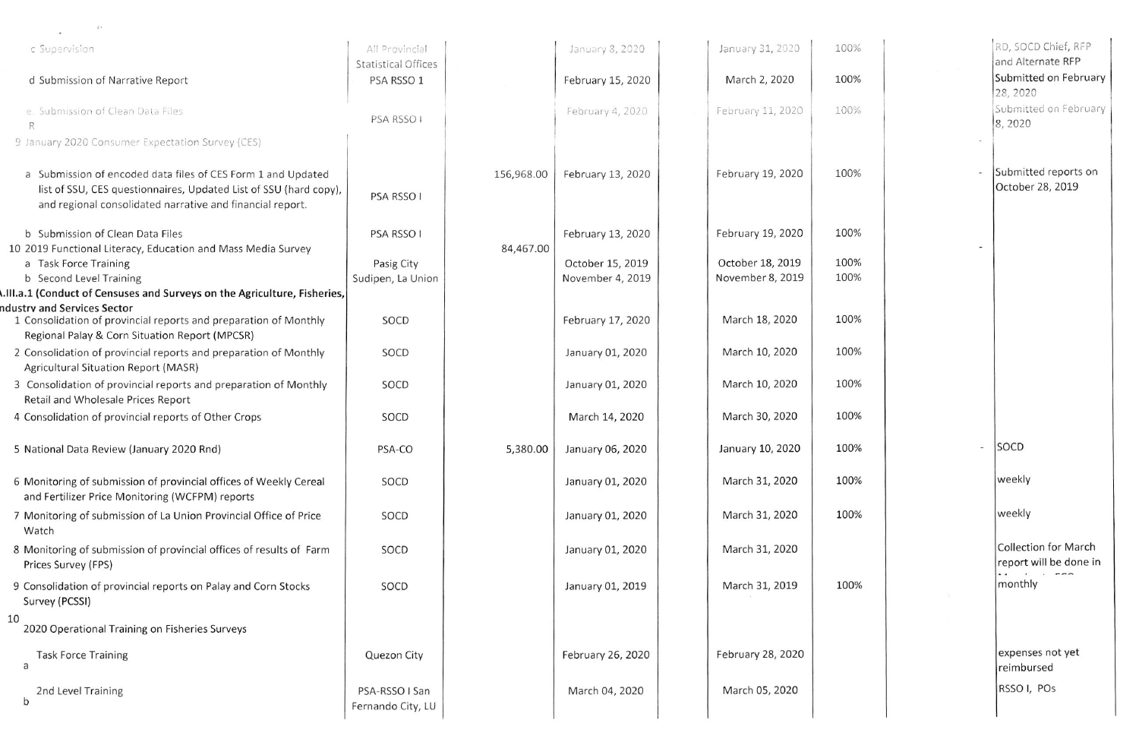| 4.4                                                                                                                                                                                            |                                              |            |                                      |                                      |              |                                                                        |
|------------------------------------------------------------------------------------------------------------------------------------------------------------------------------------------------|----------------------------------------------|------------|--------------------------------------|--------------------------------------|--------------|------------------------------------------------------------------------|
| c Supervision                                                                                                                                                                                  | All Provincial<br><b>Statistical Offices</b> |            | January 8, 2020                      | January 31, 2020                     | 100%         | RD, SOCD Chief, RFP<br>and Alternate RFP                               |
| d Submission of Narrative Report                                                                                                                                                               | PSA RSSO 1                                   |            | February 15, 2020                    | March 2, 2020                        | 100%         | Submitted on February<br>28, 2020                                      |
| e. Submission of Clean Data Files<br>R                                                                                                                                                         | PSA RSSO I                                   |            | February 4, 2020                     | February 11, 2020                    | 100%         | Submitted on February<br>8,2020                                        |
| 9 January 2020 Consumer Expectation Survey (CES)                                                                                                                                               |                                              |            |                                      |                                      |              |                                                                        |
| a Submission of encoded data files of CES Form 1 and Updated<br>list of SSU, CES questionnaires, Updated List of SSU (hard copy),<br>and regional consolidated narrative and financial report. | PSA RSSO I                                   | 156,968.00 | February 13, 2020                    | February 19, 2020                    | 100%         | Submitted reports on<br>October 28, 2019                               |
| b Submission of Clean Data Files<br>10 2019 Functional Literacy, Education and Mass Media Survey                                                                                               | PSA RSSO I                                   | 84,467.00  | February 13, 2020                    | February 19, 2020                    | 100%         |                                                                        |
| a Task Force Training<br>b Second Level Training<br>III.a.1 (Conduct of Censuses and Surveys on the Agriculture, Fisheries,                                                                    | Pasig City<br>Sudipen, La Union              |            | October 15, 2019<br>November 4, 2019 | October 18, 2019<br>November 8, 2019 | 100%<br>100% |                                                                        |
| ndustry and Services Sector<br>1 Consolidation of provincial reports and preparation of Monthly<br>Regional Palay & Corn Situation Report (MPCSR)                                              | SOCD                                         |            | February 17, 2020                    | March 18, 2020                       | 100%         |                                                                        |
| 2 Consolidation of provincial reports and preparation of Monthly<br><b>Agricultural Situation Report (MASR)</b>                                                                                | SOCD                                         |            | January 01, 2020                     | March 10, 2020                       | 100%         |                                                                        |
| 3 Consolidation of provincial reports and preparation of Monthly<br>Retail and Wholesale Prices Report                                                                                         | SOCD                                         |            | January 01, 2020                     | March 10, 2020                       | 100%         |                                                                        |
| 4 Consolidation of provincial reports of Other Crops                                                                                                                                           | SOCD                                         |            | March 14, 2020                       | March 30, 2020                       | 100%         |                                                                        |
| 5 National Data Review (January 2020 Rnd)                                                                                                                                                      | PSA-CO                                       | 5,380.00   | January 06, 2020                     | January 10, 2020                     | 100%         | SOCD                                                                   |
| 6 Monitoring of submission of provincial offices of Weekly Cereal<br>and Fertilizer Price Monitoring (WCFPM) reports                                                                           | SOCD                                         |            | January 01, 2020                     | March 31, 2020                       | 100%         | weekly                                                                 |
| 7 Monitoring of submission of La Union Provincial Office of Price<br>Watch                                                                                                                     | SOCD                                         |            | January 01, 2020                     | March 31, 2020                       | 100%         | weekly                                                                 |
| 8 Monitoring of submission of provincial offices of results of Farm<br>Prices Survey (FPS)                                                                                                     | SOCD                                         |            | January 01, 2020                     | March 31, 2020                       |              | <b>Collection for March</b><br>report will be done in                  |
| 9 Consolidation of provincial reports on Palay and Corn Stocks<br>Survey (PCSSI)                                                                                                               | SOCD                                         |            | January 01, 2019                     | March 31, 2019                       | 100%         | $\sim$<br>$\ddot{\phantom{1}}$<br>$\mathbf{1}$ $\mathbf{1}$<br>monthly |
| 10<br>2020 Operational Training on Fisheries Surveys                                                                                                                                           |                                              |            |                                      |                                      |              |                                                                        |
| <b>Task Force Training</b><br>a                                                                                                                                                                | Quezon City                                  |            | February 26, 2020                    | February 28, 2020                    |              | expenses not yet<br>reimbursed                                         |
| 2nd Level Training<br>b                                                                                                                                                                        | PSA-RSSO I San<br>Fernando City, LU          |            | March 04, 2020                       | March 05, 2020                       |              | RSSO I, POs                                                            |